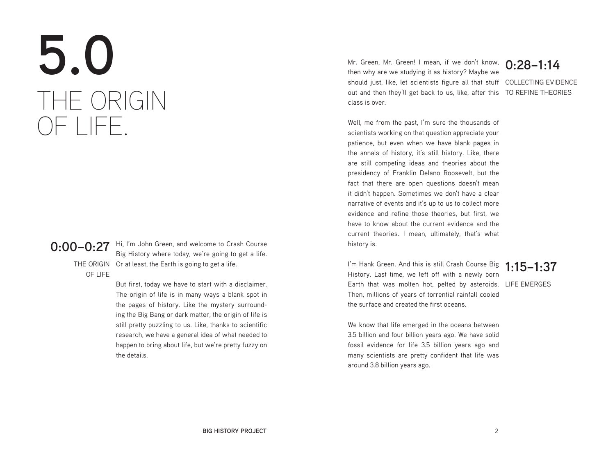# **5.0** THE ORIGIN OF LIFE.

OF LIFE

**0:00–0:27** Hi, I'm John Green, and welcome to Crash Course<br>**0:00–0:27** Big History where today, we're going to get a life THE ORIGIN Or at least, the Earth is going to get a life. Big History where today, we're going to get a life.

> But first, today we have to start with a disclaimer. The origin of life is in many ways a blank spot in the pages of history. Like the mystery surrounding the Big Bang or dark matter, the origin of life is still pretty puzzling to us. Like, thanks to scientific research, we have a general idea of what needed to happen to bring about life, but we're pretty fuzzy on the details.

Mr. Green, Mr. Green! I mean, if we don't know, 0:28–1:14<br>then why are we studying it as history? Maybe we should just, like, let scientists figure all that stuff COLLECTING EVIDENCE out and then they'll get back to us, like, after this TO REFINE THEORIES then why are we studying it as history? Maybe we class is over.

Well, me from the past, I'm sure the thousands of scientists working on that question appreciate your patience, but even when we have blank pages in the annals of history, it's still history. Like, there are still competing ideas and theories about the presidency of Franklin Delano Roosevelt, but the fact that there are open questions doesn't mean it didn't happen. Sometimes we don't have a clear narrative of events and it's up to us to collect more evidence and refine those theories, but first, we have to know about the current evidence and the current theories. I mean, ultimately, that's what history is.

I'm Hank Green. And this is still Crash Course Big **1:15–1:37**<br>History Leet time, we left off with a navyly here Earth that was molten hot, pelted by asteroids. LIFE EMERGES History. Last time, we left off with a newly born Then, millions of years of torrential rainfall cooled the surface and created the first oceans.

We know that life emerged in the oceans between 3.5 billion and four billion years ago. We have solid fossil evidence for life 3.5 billion years ago and many scientists are pretty confident that life was around 3.8 billion years ago.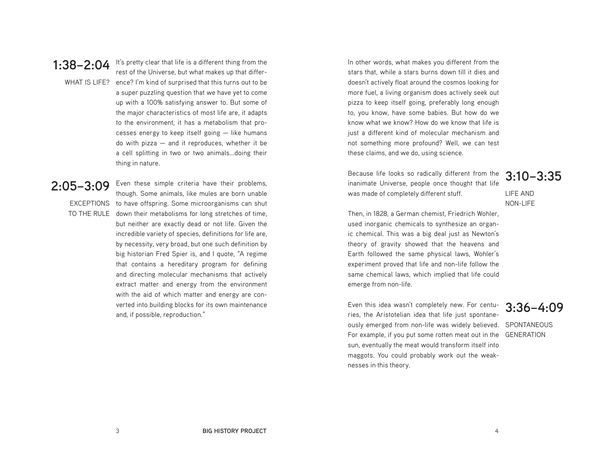**1:38–2:04** It's pretty clear that life is a different thing from the<br>cost of the Universe but what makes up that differ-WHAT IS LIFE? ence? I'm kind of surprised that this turns out to be rest of the Universe, but what makes up that differa super puzzling question that we have yet to come up with a 100% satisfying answer to. But some of the major characteristics of most life are, it adapts to the environment, it has a metabolism that processes energy to keep itself going — like humans do with pizza — and it reproduces, whether it be a cell splitting in two or two animals...doing their thing in nature.

# **2:05–3:09**

EXCEPTIONS to have offspring. Some microorganisms can shut TO THE RULE down their metabolisms for long stretches of time, though. Some animals, like mules are born unable but neither are exactly dead or not life. Given the incredible variety of species, definitions for life are, by necessity, very broad, but one such definition by big historian Fred Spier is, and I quote, "A regime that contains a hereditary program for defining and directing molecular mechanisms that actively extract matter and energy from the environment with the aid of which matter and energy are converted into building blocks for its own maintenance and, if possible, reproduction."

Even these simple criteria have their problems,

In other words, what makes you different from the stars that, while a stars burns down till it dies and doesn't actively float around the cosmos looking for more fuel, a living organism does actively seek out pizza to keep itself going, preferably long enough to, you know, have some babies. But how do we know what we know? How do we know that life is just a different kind of molecular mechanism and not something more profound? Well, we can test these claims, and we do, using science.

Because life looks so radically different from the inanimate Universe, people once thought that life was made of completely different stuff.

**3:10–3:35**

LIFE AND NON-LIFE

Then, in 1828, a German chemist, Friedrich Wohler, used inorganic chemicals to synthesize an organic chemical. This was a big deal just as Newton's theory of gravity showed that the heavens and Earth followed the same physical laws, Wohler's experiment proved that life and non-life follow the same chemical laws, which implied that life could emerge from non-life.

Even this idea wasn't completely new. For centuries, the Aristotelian idea that life just spontaneously emerged from non-life was widely believed. SPONTANEOUS For example, if you put some rotten meat out in the GENERATIONsun, eventually the meat would transform itself into maggots. You could probably work out the weaknesses in this theory.

### **3:36–4:09**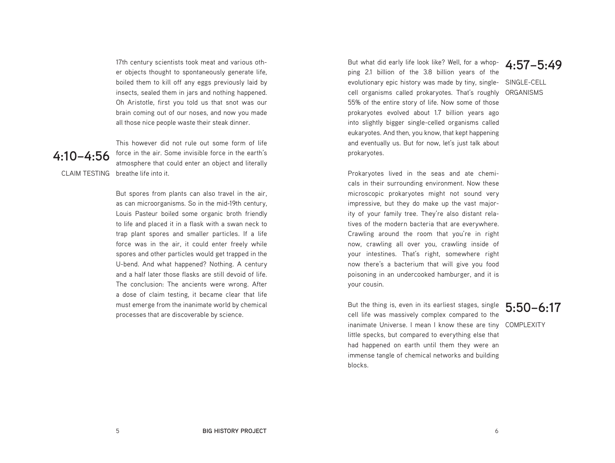17th century scientists took meat and various other objects thought to spontaneously generate life, boiled them to kill off any eggs previously laid by insects, sealed them in jars and nothing happened. Oh Aristotle, first you told us that snot was our brain coming out of our noses, and now you made all those nice people waste their steak dinner.



CLAIM TESTING breathe life into it. This however did not rule out some form of life force in the air. Some invisible force in the earth's atmosphere that could enter an object and literally

> But spores from plants can also travel in the air, as can microorganisms. So in the mid-19th century, Louis Pasteur boiled some organic broth friendly to life and placed it in a flask with a swan neck to trap plant spores and smaller particles. If a life force was in the air, it could enter freely while spores and other particles would get trapped in the U-bend. And what happened? Nothing. A century and a half later those flasks are still devoid of life. The conclusion: The ancients were wrong. After a dose of claim testing, it became clear that life must emerge from the inanimate world by chemical processes that are discoverable by science.

But what did early life look like? Well, for a whopping 2.1 billion of the 3.8 billion years of the evolutionary epic history was made by tiny, singlecell organisms called prokaryotes. That's roughly 55% of the entire story of life. Now some of those prokaryotes evolved about 1.7 billion years ago into slightly bigger single-celled organisms called eukaryotes. And then, you know, that kept happening and eventually us. But for now, let's just talk about prokaryotes.

**4:57–5:49**

SINGLE-CELL ORGANISMS

Prokaryotes lived in the seas and ate chemicals in their surrounding environment. Now these microscopic prokaryotes might not sound very impressive, but they do make up the vast majority of your family tree. They're also distant relatives of the modern bacteria that are everywhere. Crawling around the room that you're in right now, crawling all over you, crawling inside of your intestines. That's right, somewhere right now there's a bacterium that will give you food poisoning in an undercooked hamburger, and it is your cousin.

But the thing is, even in its earliest stages, single cell life was massively complex compared to the inanimate Universe. I mean I know these are tiny COMPLEXITYlittle specks, but compared to everything else that had happened on earth until them they were an immense tangle of chemical networks and building blocks.

### **5:50–6:17**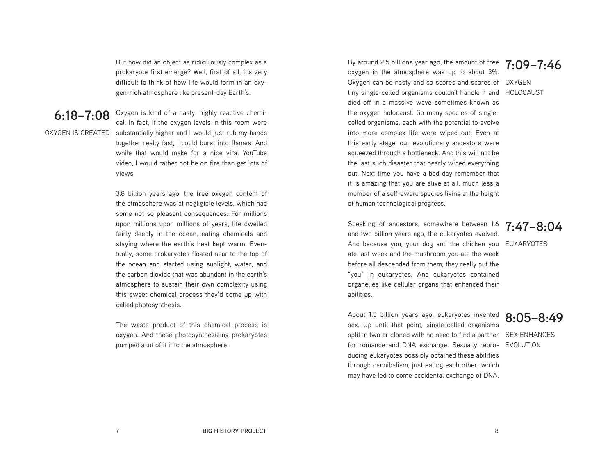But how did an object as ridiculously complex as a prokaryote first emerge? Well, first of all, it's very difficult to think of how life would form in an oxygen-rich atmosphere like present-day Earth's.

**6:18–7:08**

OXYGEN IS CREATED substantially higher and I would just rub my hands Oxygen is kind of a nasty, highly reactive chemical. In fact, if the oxygen levels in this room were together really fast, I could burst into flames. And while that would make for a nice viral YouTube video, I would rather not be on fire than get lots of views.

> 3.8 billion years ago, the free oxygen content of the atmosphere was at negligible levels, which had some not so pleasant consequences. For millions upon millions upon millions of years, life dwelled fairly deeply in the ocean, eating chemicals and staying where the earth's heat kept warm. Eventually, some prokaryotes floated near to the top of the ocean and started using sunlight, water, and the carbon dioxide that was abundant in the earth's atmosphere to sustain their own complexity using this sweet chemical process they'd come up with called photosynthesis.

> The waste product of this chemical process is oxygen. And these photosynthesizing prokaryotes pumped a lot of it into the atmosphere.

By around 2.5 billions year ago, the amount of free  $\frac{7:09-7:46}{3}$ Oxygen can be nasty and so scores and scores of OXYGEN tiny single-celled organisms couldn't handle it and HOLOCAUST oxygen in the atmosphere was up to about 3%. died off in a massive wave sometimes known as the oxygen holocaust. So many species of singlecelled organisms, each with the potential to evolve into more complex life were wiped out. Even at this early stage, our evolutionary ancestors were squeezed through a bottleneck. And this will not be the last such disaster that nearly wiped everything out. Next time you have a bad day remember that it is amazing that you are alive at all, much less a member of a self-aware species living at the height of human technological progress.

And because you, your dog and the chicken you EUKARYOTES Speaking of ancestors, somewhere between 1.6 and two billion years ago, the eukaryotes evolved. ate last week and the mushroom you ate the week before all descended from them, they really put the "you" in eukaryotes. And eukaryotes contained organelles like cellular organs that enhanced their abilities.

split in two or cloned with no need to find a partner SEX ENHANCES for romance and DNA exchange. Sexually repro- EVOLUTION About 1.5 billion years ago, eukaryotes invented sex. Up until that point, single-celled organisms ducing eukaryotes possibly obtained these abilities through cannibalism, just eating each other, which may have led to some accidental exchange of DNA.

### **7:47–8:04**

**8:05–8:49**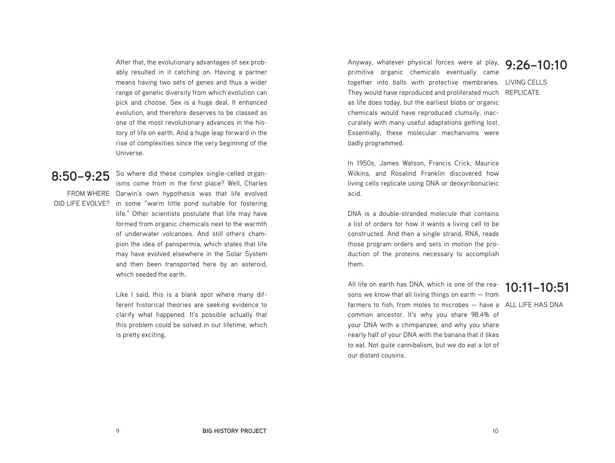After that, the evolutionary advantages of sex probably resulted in it catching on. Having a partner means having two sets of genes and thus a wider range of genetic diversity from which evolution can pick and choose. Sex is a huge deal. It enhanced evolution, and therefore deserves to be classed as one of the most revolutionary advances in the history of life on earth. And a huge leap forward in the rise of complexities since the very beginning of the Universe.

### **8:50–9:25**

FROM WHERE Darwin's own hypothesis was that life evolved DID LIFE EVOLVE? in some "warm little pond suitable for fostering So where did these complex single-celled organisms come from in the first place? Well, Charles life." Other scientists postulate that life may have formed from organic chemicals next to the warmth of underwater volcanoes. And still others champion the idea of panspermia, which states that life may have evolved elsewhere in the Solar System and then been transported here by an asteroid, which seeded the earth.

> Like I said, this is a blank spot where many different historical theories are seeking evidence to clarify what happened. It's possible actually that this problem could be solved in our lifetime, which is pretty exciting.

Anyway, whatever physical forces were at play, **9:26–10:10** primitive organic chemicals eventually came together into balls with protective membranes. LIVING CELLS They would have reproduced and proliferated much REPLICATE as life does today, but the earliest blobs or organic chemicals would have reproduced clumsily, inaccurately with many useful adaptations getting lost. Essentially, these molecular mechanisms were badly programmed.

In 1950s, James Watson, Francis Crick, Maurice Wilkins, and Rosalind Franklin discovered how living cells replicate using DNA or deoxyribonucleic acid.

DNA is a double-stranded molecule that contains a list of orders for how it wants a living cell to be constructed. And then a single strand, RNA, reads those program orders and sets in motion the production of the proteins necessary to accomplish them.

All life on earth has DNA, which is one of the reasons we know that all living things on earth — from farmers to fish, from moles to microbes — have a ALL LIFE HAS DNAcommon ancestor. It's why you share 98.4% of your DNA with a chimpanzee, and why you share nearly half of your DNA with the banana that it likes to eat. Not quite cannibalism, but we do eat a lot of our distant cousins.

# **10:11–10:51**